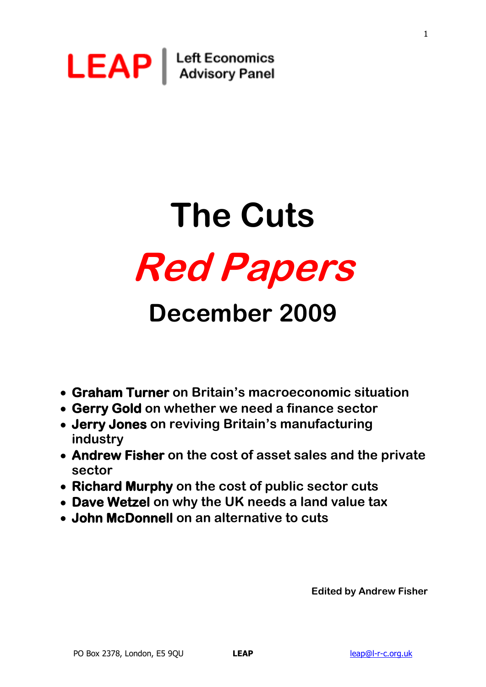

# **The Cuts Red Papers**

# **December 2009**

- **Graham Turner on Britain's macroeconomic situation**
- **Gerry Gold on whether we need a finance sector**
- **Jerry Jones on reviving Britain's manufacturing industry**
- **Andrew Fisher on the cost of asset sales and the private sector**
- **Richard Murphy on the cost of public sector cuts**
- **Dave Wetzel on why the UK needs a land value tax**
- **John McDonnell on an alternative to cuts**

**Edited by Andrew Fisher**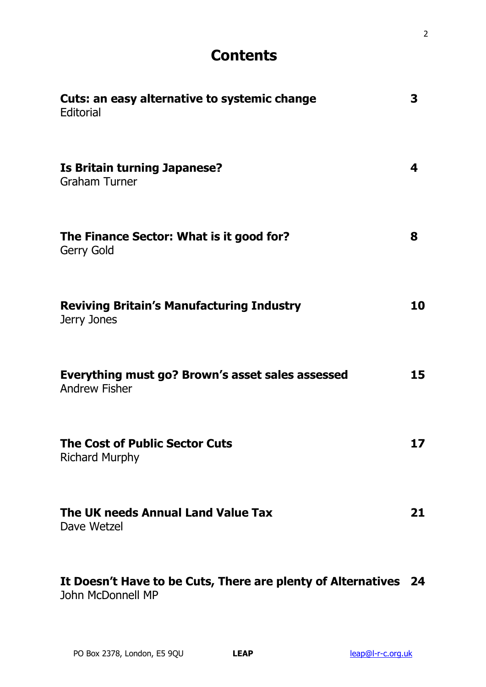# **Contents**

| Cuts: an easy alternative to systemic change<br>Editorial                | 3  |
|--------------------------------------------------------------------------|----|
| <b>Is Britain turning Japanese?</b><br><b>Graham Turner</b>              | 4  |
| The Finance Sector: What is it good for?<br><b>Gerry Gold</b>            | 8  |
| <b>Reviving Britain's Manufacturing Industry</b><br>Jerry Jones          | 10 |
| Everything must go? Brown's asset sales assessed<br><b>Andrew Fisher</b> | 15 |
| <b>The Cost of Public Sector Cuts</b><br><b>Richard Murphy</b>           | 17 |
| The UK needs Annual Land Value Tax<br>Dave Wetzel                        | 21 |
| It Doesn't Have to be Cuts, There are plenty of Alternatives 24          |    |

John McDonnell MP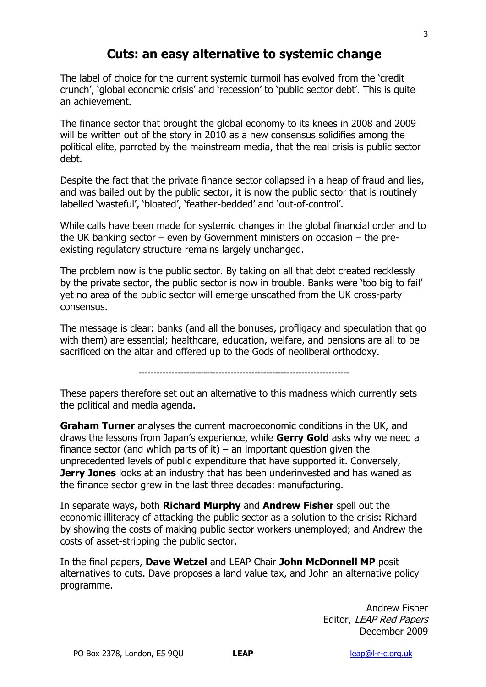# **Cuts: an easy alternative to systemic change**

The label of choice for the current systemic turmoil has evolved from the "credit crunch', 'global economic crisis' and 'recession' to 'public sector debt'. This is quite an achievement.

The finance sector that brought the global economy to its knees in 2008 and 2009 will be written out of the story in 2010 as a new consensus solidifies among the political elite, parroted by the mainstream media, that the real crisis is public sector debt.

Despite the fact that the private finance sector collapsed in a heap of fraud and lies, and was bailed out by the public sector, it is now the public sector that is routinely labelled 'wasteful', 'bloated', 'feather-bedded' and 'out-of-control'.

While calls have been made for systemic changes in the global financial order and to the UK banking sector – even by Government ministers on occasion – the preexisting regulatory structure remains largely unchanged.

The problem now is the public sector. By taking on all that debt created recklessly by the private sector, the public sector is now in trouble. Banks were "too big to fail" yet no area of the public sector will emerge unscathed from the UK cross-party consensus.

The message is clear: banks (and all the bonuses, profligacy and speculation that go with them) are essential; healthcare, education, welfare, and pensions are all to be sacrificed on the altar and offered up to the Gods of neoliberal orthodoxy.

-----------------------------------------------------------------------

These papers therefore set out an alternative to this madness which currently sets the political and media agenda.

**Graham Turner** analyses the current macroeconomic conditions in the UK, and draws the lessons from Japan"s experience, while **Gerry Gold** asks why we need a finance sector (and which parts of it) – an important question given the unprecedented levels of public expenditure that have supported it. Conversely, **Jerry Jones** looks at an industry that has been underinvested and has waned as the finance sector grew in the last three decades: manufacturing.

In separate ways, both **Richard Murphy** and **Andrew Fisher** spell out the economic illiteracy of attacking the public sector as a solution to the crisis: Richard by showing the costs of making public sector workers unemployed; and Andrew the costs of asset-stripping the public sector.

In the final papers, **Dave Wetzel** and LEAP Chair **John McDonnell MP** posit alternatives to cuts. Dave proposes a land value tax, and John an alternative policy programme.

> Andrew Fisher Editor, LEAP Red Papers December 2009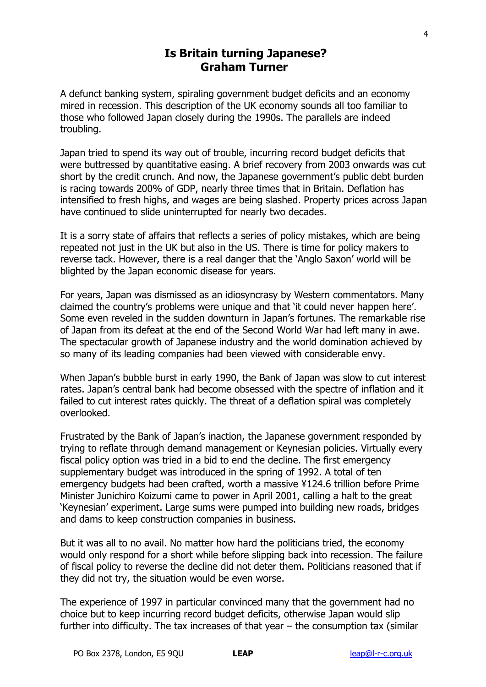## **Is Britain turning Japanese? Graham Turner**

A defunct banking system, spiraling government budget deficits and an economy mired in recession. This description of the UK economy sounds all too familiar to those who followed Japan closely during the 1990s. The parallels are indeed troubling.

Japan tried to spend its way out of trouble, incurring record budget deficits that were buttressed by quantitative easing. A brief recovery from 2003 onwards was cut short by the credit crunch. And now, the Japanese government"s public debt burden is racing towards 200% of GDP, nearly three times that in Britain. Deflation has intensified to fresh highs, and wages are being slashed. Property prices across Japan have continued to slide uninterrupted for nearly two decades.

It is a sorry state of affairs that reflects a series of policy mistakes, which are being repeated not just in the UK but also in the US. There is time for policy makers to reverse tack. However, there is a real danger that the "Anglo Saxon" world will be blighted by the Japan economic disease for years.

For years, Japan was dismissed as an idiosyncrasy by Western commentators. Many claimed the country's problems were unique and that 'it could never happen here'. Some even reveled in the sudden downturn in Japan"s fortunes. The remarkable rise of Japan from its defeat at the end of the Second World War had left many in awe. The spectacular growth of Japanese industry and the world domination achieved by so many of its leading companies had been viewed with considerable envy.

When Japan's bubble burst in early 1990, the Bank of Japan was slow to cut interest rates. Japan"s central bank had become obsessed with the spectre of inflation and it failed to cut interest rates quickly. The threat of a deflation spiral was completely overlooked.

Frustrated by the Bank of Japan"s inaction, the Japanese government responded by trying to reflate through demand management or Keynesian policies. Virtually every fiscal policy option was tried in a bid to end the decline. The first emergency supplementary budget was introduced in the spring of 1992. A total of ten emergency budgets had been crafted, worth a massive ¥124.6 trillion before Prime Minister Junichiro Koizumi came to power in April 2001, calling a halt to the great "Keynesian" experiment. Large sums were pumped into building new roads, bridges and dams to keep construction companies in business.

But it was all to no avail. No matter how hard the politicians tried, the economy would only respond for a short while before slipping back into recession. The failure of fiscal policy to reverse the decline did not deter them. Politicians reasoned that if they did not try, the situation would be even worse.

The experience of 1997 in particular convinced many that the government had no choice but to keep incurring record budget deficits, otherwise Japan would slip further into difficulty. The tax increases of that year – the consumption tax (similar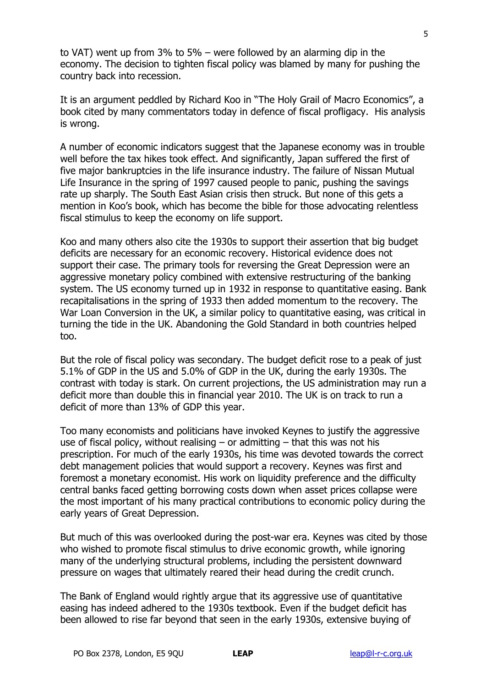to VAT) went up from 3% to 5% – were followed by an alarming dip in the economy. The decision to tighten fiscal policy was blamed by many for pushing the country back into recession.

It is an argument peddled by Richard Koo in "The Holy Grail of Macro Economics", a book cited by many commentators today in defence of fiscal profligacy. His analysis is wrong.

A number of economic indicators suggest that the Japanese economy was in trouble well before the tax hikes took effect. And significantly, Japan suffered the first of five major bankruptcies in the life insurance industry. The failure of Nissan Mutual Life Insurance in the spring of 1997 caused people to panic, pushing the savings rate up sharply. The South East Asian crisis then struck. But none of this gets a mention in Koo's book, which has become the bible for those advocating relentless fiscal stimulus to keep the economy on life support.

Koo and many others also cite the 1930s to support their assertion that big budget deficits are necessary for an economic recovery. Historical evidence does not support their case. The primary tools for reversing the Great Depression were an aggressive monetary policy combined with extensive restructuring of the banking system. The US economy turned up in 1932 in response to quantitative easing. Bank recapitalisations in the spring of 1933 then added momentum to the recovery. The War Loan Conversion in the UK, a similar policy to quantitative easing, was critical in turning the tide in the UK. Abandoning the Gold Standard in both countries helped too.

But the role of fiscal policy was secondary. The budget deficit rose to a peak of just 5.1% of GDP in the US and 5.0% of GDP in the UK, during the early 1930s. The contrast with today is stark. On current projections, the US administration may run a deficit more than double this in financial year 2010. The UK is on track to run a deficit of more than 13% of GDP this year.

Too many economists and politicians have invoked Keynes to justify the aggressive use of fiscal policy, without realising  $-$  or admitting  $-$  that this was not his prescription. For much of the early 1930s, his time was devoted towards the correct debt management policies that would support a recovery. Keynes was first and foremost a monetary economist. His work on liquidity preference and the difficulty central banks faced getting borrowing costs down when asset prices collapse were the most important of his many practical contributions to economic policy during the early years of Great Depression.

But much of this was overlooked during the post-war era. Keynes was cited by those who wished to promote fiscal stimulus to drive economic growth, while ignoring many of the underlying structural problems, including the persistent downward pressure on wages that ultimately reared their head during the credit crunch.

The Bank of England would rightly argue that its aggressive use of quantitative easing has indeed adhered to the 1930s textbook. Even if the budget deficit has been allowed to rise far beyond that seen in the early 1930s, extensive buying of

5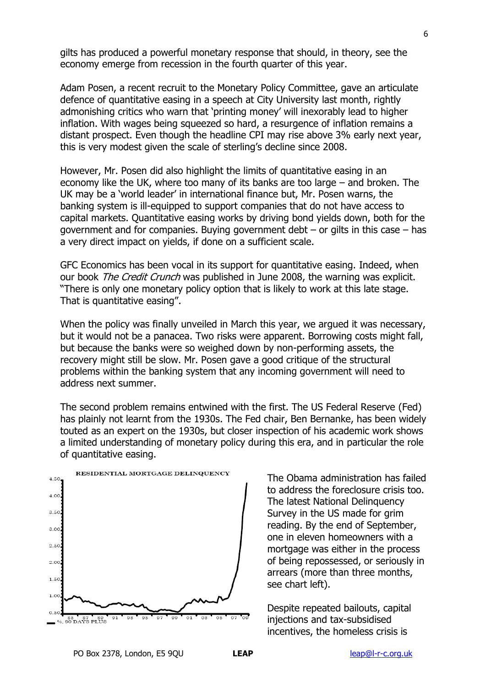gilts has produced a powerful monetary response that should, in theory, see the economy emerge from recession in the fourth quarter of this year.

Adam Posen, a recent recruit to the Monetary Policy Committee, gave an articulate defence of quantitative easing in a speech at City University last month, rightly admonishing critics who warn that "printing money" will inexorably lead to higher inflation. With wages being squeezed so hard, a resurgence of inflation remains a distant prospect. Even though the headline CPI may rise above 3% early next year, this is very modest given the scale of sterling"s decline since 2008.

However, Mr. Posen did also highlight the limits of quantitative easing in an economy like the UK, where too many of its banks are too large – and broken. The UK may be a "world leader" in international finance but, Mr. Posen warns, the banking system is ill-equipped to support companies that do not have access to capital markets. Quantitative easing works by driving bond yields down, both for the government and for companies. Buying government debt – or gilts in this case – has a very direct impact on yields, if done on a sufficient scale.

GFC Economics has been vocal in its support for quantitative easing. Indeed, when our book *The Credit Crunch* was published in June 2008, the warning was explicit. "There is only one monetary policy option that is likely to work at this late stage. That is quantitative easing".

When the policy was finally unveiled in March this year, we argued it was necessary, but it would not be a panacea. Two risks were apparent. Borrowing costs might fall, but because the banks were so weighed down by non-performing assets, the recovery might still be slow. Mr. Posen gave a good critique of the structural problems within the banking system that any incoming government will need to address next summer.

The second problem remains entwined with the first. The US Federal Reserve (Fed) has plainly not learnt from the 1930s. The Fed chair, Ben Bernanke, has been widely touted as an expert on the 1930s, but closer inspection of his academic work shows a limited understanding of monetary policy during this era, and in particular the role of quantitative easing.



The Obama administration has failed to address the foreclosure crisis too. The latest National Delinquency Survey in the US made for grim reading. By the end of September, one in eleven homeowners with a mortgage was either in the process of being repossessed, or seriously in arrears (more than three months, see chart left).

Despite repeated bailouts, capital injections and tax-subsidised incentives, the homeless crisis is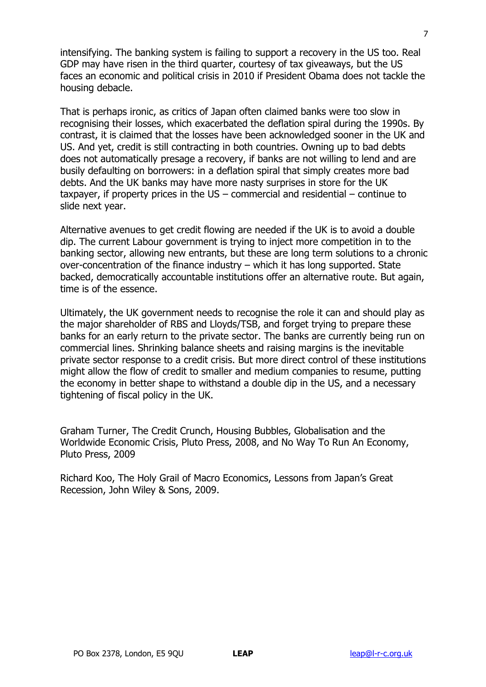intensifying. The banking system is failing to support a recovery in the US too. Real GDP may have risen in the third quarter, courtesy of tax giveaways, but the US faces an economic and political crisis in 2010 if President Obama does not tackle the housing debacle.

That is perhaps ironic, as critics of Japan often claimed banks were too slow in recognising their losses, which exacerbated the deflation spiral during the 1990s. By contrast, it is claimed that the losses have been acknowledged sooner in the UK and US. And yet, credit is still contracting in both countries. Owning up to bad debts does not automatically presage a recovery, if banks are not willing to lend and are busily defaulting on borrowers: in a deflation spiral that simply creates more bad debts. And the UK banks may have more nasty surprises in store for the UK taxpayer, if property prices in the US – commercial and residential – continue to slide next year.

Alternative avenues to get credit flowing are needed if the UK is to avoid a double dip. The current Labour government is trying to inject more competition in to the banking sector, allowing new entrants, but these are long term solutions to a chronic over-concentration of the finance industry – which it has long supported. State backed, democratically accountable institutions offer an alternative route. But again, time is of the essence.

Ultimately, the UK government needs to recognise the role it can and should play as the major shareholder of RBS and Lloyds/TSB, and forget trying to prepare these banks for an early return to the private sector. The banks are currently being run on commercial lines. Shrinking balance sheets and raising margins is the inevitable private sector response to a credit crisis. But more direct control of these institutions might allow the flow of credit to smaller and medium companies to resume, putting the economy in better shape to withstand a double dip in the US, and a necessary tightening of fiscal policy in the UK.

Graham Turner, The Credit Crunch, Housing Bubbles, Globalisation and the Worldwide Economic Crisis, Pluto Press, 2008, and No Way To Run An Economy, Pluto Press, 2009

Richard Koo, The Holy Grail of Macro Economics, Lessons from Japan"s Great Recession, John Wiley & Sons, 2009.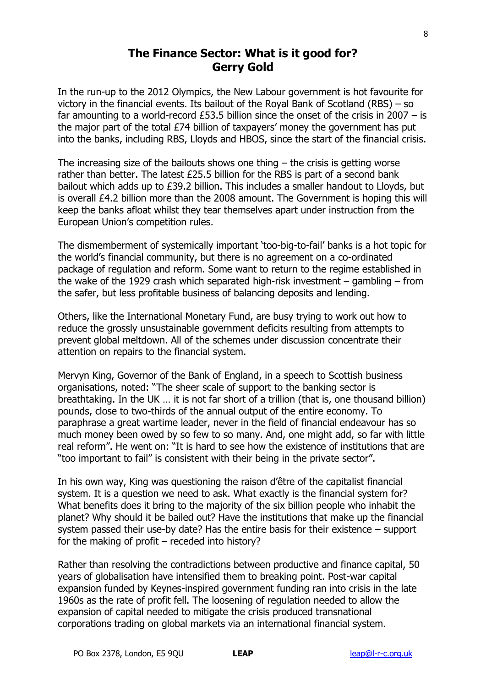## **The Finance Sector: What is it good for? Gerry Gold**

In the run-up to the 2012 Olympics, the New Labour government is hot favourite for victory in the financial events. Its bailout of the Royal Bank of Scotland (RBS) – so far amounting to a world-record £53.5 billion since the onset of the crisis in 2007  $-$  is the major part of the total £74 billion of taxpayers' money the government has put into the banks, including RBS, Lloyds and HBOS, since the start of the financial crisis.

The increasing size of the bailouts shows one thing  $-$  the crisis is getting worse rather than better. The latest £25.5 billion for the RBS is part of a second bank bailout which adds up to £39.2 billion. This includes a smaller handout to Lloyds, but is overall £4.2 billion more than the 2008 amount. The Government is hoping this will keep the banks afloat whilst they tear themselves apart under instruction from the European Union"s competition rules.

The dismemberment of systemically important "too-big-to-fail" banks is a hot topic for the world"s financial community, but there is no agreement on a co-ordinated package of regulation and reform. Some want to return to the regime established in the wake of the 1929 crash which separated high-risk investment – gambling – from the safer, but less profitable business of balancing deposits and lending.

Others, like the International Monetary Fund, are busy trying to work out how to reduce the grossly unsustainable government deficits resulting from attempts to prevent global meltdown. All of the schemes under discussion concentrate their attention on repairs to the financial system.

Mervyn King, Governor of the Bank of England, in a speech to Scottish business organisations, noted: "The sheer scale of support to the banking sector is breathtaking. In the UK … it is not far short of a trillion (that is, one thousand billion) pounds, close to two-thirds of the annual output of the entire economy. To paraphrase a great wartime leader, never in the field of financial endeavour has so much money been owed by so few to so many. And, one might add, so far with little real reform". He went on: "It is hard to see how the existence of institutions that are "too important to fail" is consistent with their being in the private sector".

In his own way, King was questioning the raison d"être of the capitalist financial system. It is a question we need to ask. What exactly is the financial system for? What benefits does it bring to the majority of the six billion people who inhabit the planet? Why should it be bailed out? Have the institutions that make up the financial system passed their use-by date? Has the entire basis for their existence – support for the making of profit  $-$  receded into history?

Rather than resolving the contradictions between productive and finance capital, 50 years of globalisation have intensified them to breaking point. Post-war capital expansion funded by Keynes-inspired government funding ran into crisis in the late 1960s as the rate of profit fell. The loosening of regulation needed to allow the expansion of capital needed to mitigate the crisis produced transnational corporations trading on global markets via an international financial system.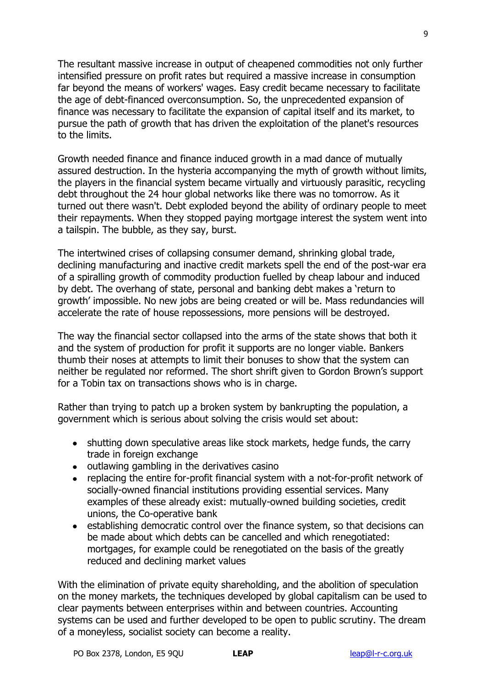The resultant massive increase in output of cheapened commodities not only further intensified pressure on profit rates but required a massive increase in consumption far beyond the means of workers' wages. Easy credit became necessary to facilitate the age of debt-financed overconsumption. So, the unprecedented expansion of finance was necessary to facilitate the expansion of capital itself and its market, to pursue the path of growth that has driven the exploitation of the planet's resources to the limits.

Growth needed finance and finance induced growth in a mad dance of mutually assured destruction. In the hysteria accompanying the myth of growth without limits, the players in the financial system became virtually and virtuously parasitic, recycling debt throughout the 24 hour global networks like there was no tomorrow. As it turned out there wasn't. Debt exploded beyond the ability of ordinary people to meet their repayments. When they stopped paying mortgage interest the system went into a tailspin. The bubble, as they say, burst.

The intertwined crises of collapsing consumer demand, shrinking global trade, declining manufacturing and inactive credit markets spell the end of the post-war era of a spiralling growth of commodity production fuelled by cheap labour and induced by debt. The overhang of state, personal and banking debt makes a "return to growth" impossible. No new jobs are being created or will be. Mass redundancies will accelerate the rate of house repossessions, more pensions will be destroyed.

The way the financial sector collapsed into the arms of the state shows that both it and the system of production for profit it supports are no longer viable. Bankers thumb their noses at attempts to limit their bonuses to show that the system can neither be regulated nor reformed. The short shrift given to Gordon Brown"s support for a Tobin tax on transactions shows who is in charge.

Rather than trying to patch up a broken system by bankrupting the population, a government which is serious about solving the crisis would set about:

- shutting down speculative areas like stock markets, hedge funds, the carry trade in foreign exchange
- outlawing gambling in the derivatives casino
- replacing the entire for-profit financial system with a not-for-profit network of socially-owned financial institutions providing essential services. Many examples of these already exist: mutually-owned building societies, credit unions, the Co-operative bank
- establishing democratic control over the finance system, so that decisions can be made about which debts can be cancelled and which renegotiated: mortgages, for example could be renegotiated on the basis of the greatly reduced and declining market values

With the elimination of private equity shareholding, and the abolition of speculation on the money markets, the techniques developed by global capitalism can be used to clear payments between enterprises within and between countries. Accounting systems can be used and further developed to be open to public scrutiny. The dream of a moneyless, socialist society can become a reality.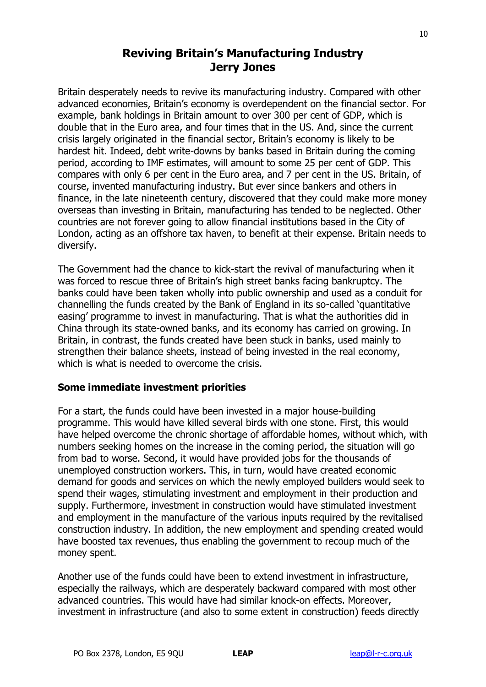# **Reviving Britain's Manufacturing Industry Jerry Jones**

Britain desperately needs to revive its manufacturing industry. Compared with other advanced economies, Britain's economy is overdependent on the financial sector. For example, bank holdings in Britain amount to over 300 per cent of GDP, which is double that in the Euro area, and four times that in the US. And, since the current crisis largely originated in the financial sector, Britain"s economy is likely to be hardest hit. Indeed, debt write-downs by banks based in Britain during the coming period, according to IMF estimates, will amount to some 25 per cent of GDP. This compares with only 6 per cent in the Euro area, and 7 per cent in the US. Britain, of course, invented manufacturing industry. But ever since bankers and others in finance, in the late nineteenth century, discovered that they could make more money overseas than investing in Britain, manufacturing has tended to be neglected. Other countries are not forever going to allow financial institutions based in the City of London, acting as an offshore tax haven, to benefit at their expense. Britain needs to diversify.

The Government had the chance to kick-start the revival of manufacturing when it was forced to rescue three of Britain's high street banks facing bankruptcy. The banks could have been taken wholly into public ownership and used as a conduit for channelling the funds created by the Bank of England in its so-called "quantitative easing" programme to invest in manufacturing. That is what the authorities did in China through its state-owned banks, and its economy has carried on growing. In Britain, in contrast, the funds created have been stuck in banks, used mainly to strengthen their balance sheets, instead of being invested in the real economy, which is what is needed to overcome the crisis.

#### **Some immediate investment priorities**

For a start, the funds could have been invested in a major house-building programme. This would have killed several birds with one stone. First, this would have helped overcome the chronic shortage of affordable homes, without which, with numbers seeking homes on the increase in the coming period, the situation will go from bad to worse. Second, it would have provided jobs for the thousands of unemployed construction workers. This, in turn, would have created economic demand for goods and services on which the newly employed builders would seek to spend their wages, stimulating investment and employment in their production and supply. Furthermore, investment in construction would have stimulated investment and employment in the manufacture of the various inputs required by the revitalised construction industry. In addition, the new employment and spending created would have boosted tax revenues, thus enabling the government to recoup much of the money spent.

Another use of the funds could have been to extend investment in infrastructure, especially the railways, which are desperately backward compared with most other advanced countries. This would have had similar knock-on effects. Moreover, investment in infrastructure (and also to some extent in construction) feeds directly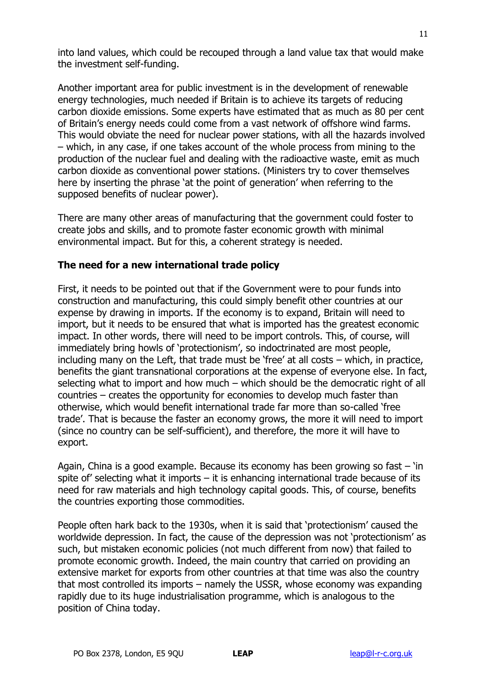into land values, which could be recouped through a land value tax that would make the investment self-funding.

Another important area for public investment is in the development of renewable energy technologies, much needed if Britain is to achieve its targets of reducing carbon dioxide emissions. Some experts have estimated that as much as 80 per cent of Britain"s energy needs could come from a vast network of offshore wind farms. This would obviate the need for nuclear power stations, with all the hazards involved – which, in any case, if one takes account of the whole process from mining to the production of the nuclear fuel and dealing with the radioactive waste, emit as much carbon dioxide as conventional power stations. (Ministers try to cover themselves here by inserting the phrase 'at the point of generation' when referring to the supposed benefits of nuclear power).

There are many other areas of manufacturing that the government could foster to create jobs and skills, and to promote faster economic growth with minimal environmental impact. But for this, a coherent strategy is needed.

#### **The need for a new international trade policy**

First, it needs to be pointed out that if the Government were to pour funds into construction and manufacturing, this could simply benefit other countries at our expense by drawing in imports. If the economy is to expand, Britain will need to import, but it needs to be ensured that what is imported has the greatest economic impact. In other words, there will need to be import controls. This, of course, will immediately bring howls of 'protectionism', so indoctrinated are most people, including many on the Left, that trade must be 'free' at all costs  $-$  which, in practice, benefits the giant transnational corporations at the expense of everyone else. In fact, selecting what to import and how much – which should be the democratic right of all countries – creates the opportunity for economies to develop much faster than otherwise, which would benefit international trade far more than so-called "free trade". That is because the faster an economy grows, the more it will need to import (since no country can be self-sufficient), and therefore, the more it will have to export.

Again, China is a good example. Because its economy has been growing so fast  $-$  'in spite of" selecting what it imports – it is enhancing international trade because of its need for raw materials and high technology capital goods. This, of course, benefits the countries exporting those commodities.

People often hark back to the 1930s, when it is said that "protectionism" caused the worldwide depression. In fact, the cause of the depression was not "protectionism" as such, but mistaken economic policies (not much different from now) that failed to promote economic growth. Indeed, the main country that carried on providing an extensive market for exports from other countries at that time was also the country that most controlled its imports – namely the USSR, whose economy was expanding rapidly due to its huge industrialisation programme, which is analogous to the position of China today.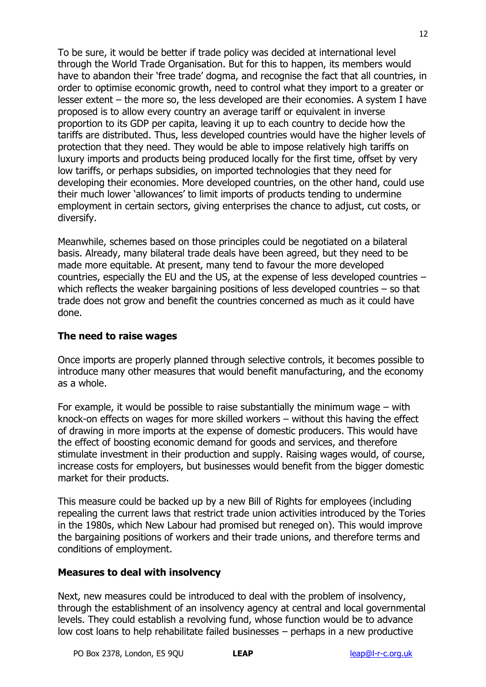To be sure, it would be better if trade policy was decided at international level through the World Trade Organisation. But for this to happen, its members would have to abandon their 'free trade' dogma, and recognise the fact that all countries, in order to optimise economic growth, need to control what they import to a greater or lesser extent – the more so, the less developed are their economies. A system I have proposed is to allow every country an average tariff or equivalent in inverse proportion to its GDP per capita, leaving it up to each country to decide how the tariffs are distributed. Thus, less developed countries would have the higher levels of protection that they need. They would be able to impose relatively high tariffs on luxury imports and products being produced locally for the first time, offset by very low tariffs, or perhaps subsidies, on imported technologies that they need for developing their economies. More developed countries, on the other hand, could use their much lower "allowances" to limit imports of products tending to undermine employment in certain sectors, giving enterprises the chance to adjust, cut costs, or diversify.

Meanwhile, schemes based on those principles could be negotiated on a bilateral basis. Already, many bilateral trade deals have been agreed, but they need to be made more equitable. At present, many tend to favour the more developed countries, especially the EU and the US, at the expense of less developed countries – which reflects the weaker bargaining positions of less developed countries – so that trade does not grow and benefit the countries concerned as much as it could have done.

#### **The need to raise wages**

Once imports are properly planned through selective controls, it becomes possible to introduce many other measures that would benefit manufacturing, and the economy as a whole.

For example, it would be possible to raise substantially the minimum wage – with knock-on effects on wages for more skilled workers – without this having the effect of drawing in more imports at the expense of domestic producers. This would have the effect of boosting economic demand for goods and services, and therefore stimulate investment in their production and supply. Raising wages would, of course, increase costs for employers, but businesses would benefit from the bigger domestic market for their products.

This measure could be backed up by a new Bill of Rights for employees (including repealing the current laws that restrict trade union activities introduced by the Tories in the 1980s, which New Labour had promised but reneged on). This would improve the bargaining positions of workers and their trade unions, and therefore terms and conditions of employment.

#### **Measures to deal with insolvency**

Next, new measures could be introduced to deal with the problem of insolvency, through the establishment of an insolvency agency at central and local governmental levels. They could establish a revolving fund, whose function would be to advance low cost loans to help rehabilitate failed businesses – perhaps in a new productive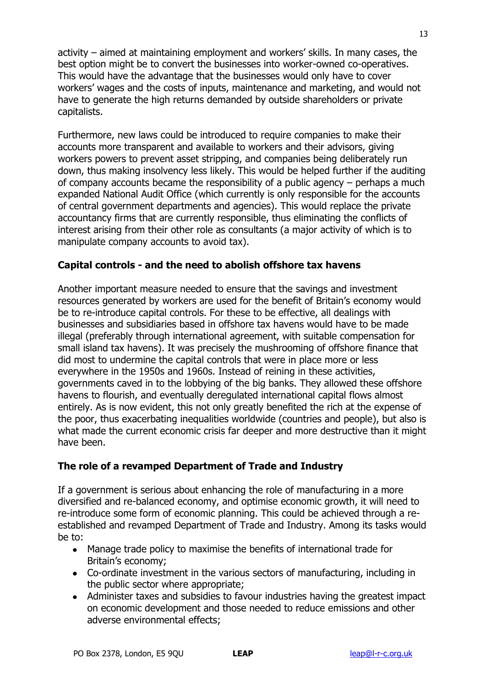activity – aimed at maintaining employment and workers' skills. In many cases, the best option might be to convert the businesses into worker-owned co-operatives. This would have the advantage that the businesses would only have to cover workers' wages and the costs of inputs, maintenance and marketing, and would not have to generate the high returns demanded by outside shareholders or private capitalists.

Furthermore, new laws could be introduced to require companies to make their accounts more transparent and available to workers and their advisors, giving workers powers to prevent asset stripping, and companies being deliberately run down, thus making insolvency less likely. This would be helped further if the auditing of company accounts became the responsibility of a public agency – perhaps a much expanded National Audit Office (which currently is only responsible for the accounts of central government departments and agencies). This would replace the private accountancy firms that are currently responsible, thus eliminating the conflicts of interest arising from their other role as consultants (a major activity of which is to manipulate company accounts to avoid tax).

#### **Capital controls - and the need to abolish offshore tax havens**

Another important measure needed to ensure that the savings and investment resources generated by workers are used for the benefit of Britain"s economy would be to re-introduce capital controls. For these to be effective, all dealings with businesses and subsidiaries based in offshore tax havens would have to be made illegal (preferably through international agreement, with suitable compensation for small island tax havens). It was precisely the mushrooming of offshore finance that did most to undermine the capital controls that were in place more or less everywhere in the 1950s and 1960s. Instead of reining in these activities, governments caved in to the lobbying of the big banks. They allowed these offshore havens to flourish, and eventually deregulated international capital flows almost entirely. As is now evident, this not only greatly benefited the rich at the expense of the poor, thus exacerbating inequalities worldwide (countries and people), but also is what made the current economic crisis far deeper and more destructive than it might have been.

#### **The role of a revamped Department of Trade and Industry**

If a government is serious about enhancing the role of manufacturing in a more diversified and re-balanced economy, and optimise economic growth, it will need to re-introduce some form of economic planning. This could be achieved through a reestablished and revamped Department of Trade and Industry. Among its tasks would be to:

- Manage trade policy to maximise the benefits of international trade for Britain's economy:
- Co-ordinate investment in the various sectors of manufacturing, including in the public sector where appropriate;
- Administer taxes and subsidies to favour industries having the greatest impact on economic development and those needed to reduce emissions and other adverse environmental effects;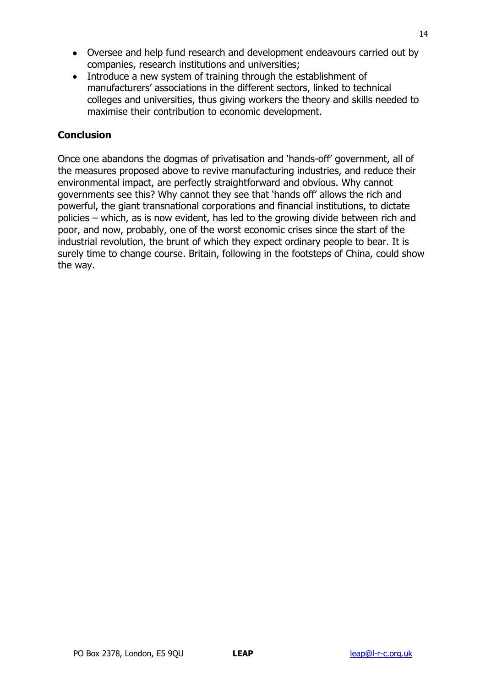- Oversee and help fund research and development endeavours carried out by companies, research institutions and universities;
- Introduce a new system of training through the establishment of manufacturers" associations in the different sectors, linked to technical colleges and universities, thus giving workers the theory and skills needed to maximise their contribution to economic development.

#### **Conclusion**

Once one abandons the dogmas of privatisation and "hands-off" government, all of the measures proposed above to revive manufacturing industries, and reduce their environmental impact, are perfectly straightforward and obvious. Why cannot governments see this? Why cannot they see that "hands off" allows the rich and powerful, the giant transnational corporations and financial institutions, to dictate policies – which, as is now evident, has led to the growing divide between rich and poor, and now, probably, one of the worst economic crises since the start of the industrial revolution, the brunt of which they expect ordinary people to bear. It is surely time to change course. Britain, following in the footsteps of China, could show the way.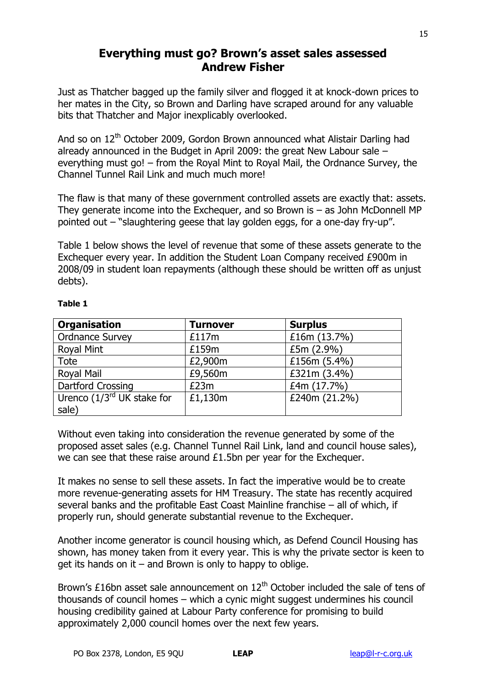# **Everything must go? Brown's asset sales assessed Andrew Fisher**

Just as Thatcher bagged up the family silver and flogged it at knock-down prices to her mates in the City, so Brown and Darling have scraped around for any valuable bits that Thatcher and Major inexplicably overlooked.

And so on 12<sup>th</sup> October 2009, Gordon Brown announced what Alistair Darling had already announced in the Budget in April 2009: the great New Labour sale – everything must go! – from the Royal Mint to Royal Mail, the Ordnance Survey, the Channel Tunnel Rail Link and much much more!

The flaw is that many of these government controlled assets are exactly that: assets. They generate income into the Exchequer, and so Brown is  $-$  as John McDonnell MP pointed out – "slaughtering geese that lay golden eggs, for a one-day fry-up".

Table 1 below shows the level of revenue that some of these assets generate to the Exchequer every year. In addition the Student Loan Company received £900m in 2008/09 in student loan repayments (although these should be written off as unjust debts).

| <b>Organisation</b>             | <b>Turnover</b> | <b>Surplus</b> |
|---------------------------------|-----------------|----------------|
| <b>Ordnance Survey</b>          | £117m           | £16m (13.7%)   |
| Royal Mint                      | £159m           | £5m(2.9%)      |
| Tote                            | £2,900m         | £156m (5.4%)   |
| <b>Royal Mail</b>               | £9,560m         | £321m (3.4%)   |
| Dartford Crossing               | E23m            | £4m (17.7%)    |
| Urenco $(1/3^{rd}$ UK stake for | £1,130m         | £240m (21.2%)  |
| sale)                           |                 |                |

#### **Table 1**

Without even taking into consideration the revenue generated by some of the proposed asset sales (e.g. Channel Tunnel Rail Link, land and council house sales), we can see that these raise around £1.5bn per year for the Exchequer.

It makes no sense to sell these assets. In fact the imperative would be to create more revenue-generating assets for HM Treasury. The state has recently acquired several banks and the profitable East Coast Mainline franchise – all of which, if properly run, should generate substantial revenue to the Exchequer.

Another income generator is council housing which, as Defend Council Housing has shown, has money taken from it every year. This is why the private sector is keen to get its hands on it – and Brown is only to happy to oblige.

Brown's £16bn asset sale announcement on  $12<sup>th</sup>$  October included the sale of tens of thousands of council homes – which a cynic might suggest undermines his council housing credibility gained at Labour Party conference for promising to build approximately 2,000 council homes over the next few years.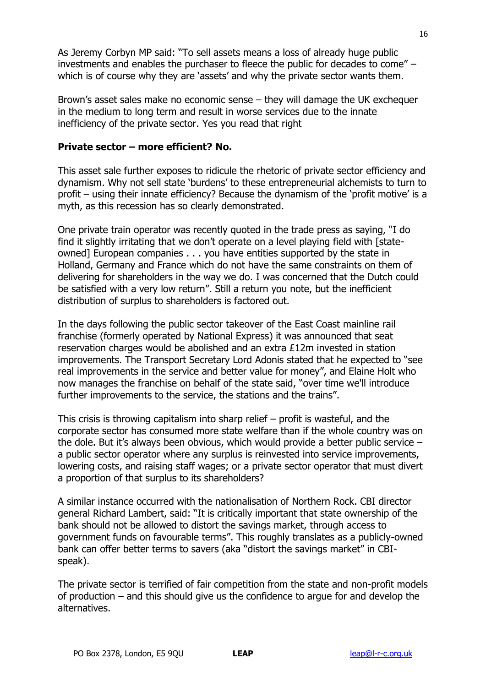As Jeremy Corbyn MP said: "To sell assets means a loss of already huge public investments and enables the purchaser to fleece the public for decades to come" – which is of course why they are 'assets' and why the private sector wants them.

Brown"s asset sales make no economic sense – they will damage the UK exchequer in the medium to long term and result in worse services due to the innate inefficiency of the private sector. Yes you read that right

#### **Private sector – more efficient? No.**

This asset sale further exposes to ridicule the rhetoric of private sector efficiency and dynamism. Why not sell state "burdens" to these entrepreneurial alchemists to turn to profit – using their innate efficiency? Because the dynamism of the "profit motive" is a myth, as this recession has so clearly demonstrated.

One private train operator was recently quoted in the trade press as saying, "I do find it slightly irritating that we don"t operate on a level playing field with [stateowned] European companies . . . you have entities supported by the state in Holland, Germany and France which do not have the same constraints on them of delivering for shareholders in the way we do. I was concerned that the Dutch could be satisfied with a very low return". Still a return you note, but the inefficient distribution of surplus to shareholders is factored out.

In the days following the public sector takeover of the East Coast mainline rail franchise (formerly operated by National Express) it was announced that seat reservation charges would be abolished and an extra £12m invested in station improvements. The Transport Secretary Lord Adonis stated that he expected to "see real improvements in the service and better value for money", and Elaine Holt who now manages the franchise on behalf of the state said, "over time we'll introduce further improvements to the service, the stations and the trains".

This crisis is throwing capitalism into sharp relief – profit is wasteful, and the corporate sector has consumed more state welfare than if the whole country was on the dole. But it's always been obvious, which would provide a better public service  $$ a public sector operator where any surplus is reinvested into service improvements, lowering costs, and raising staff wages; or a private sector operator that must divert a proportion of that surplus to its shareholders?

A similar instance occurred with the nationalisation of Northern Rock. CBI director general Richard Lambert, said: "It is critically important that state ownership of the bank should not be allowed to distort the savings market, through access to government funds on favourable terms". This roughly translates as a publicly-owned bank can offer better terms to savers (aka "distort the savings market" in CBIspeak).

The private sector is terrified of fair competition from the state and non-profit models of production – and this should give us the confidence to argue for and develop the alternatives.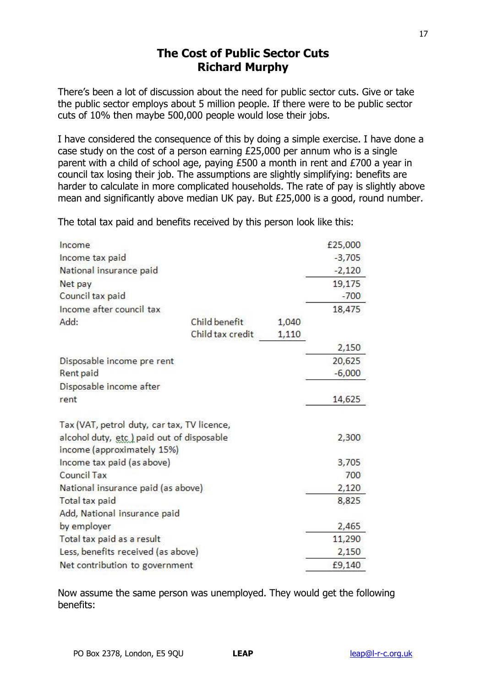# **The Cost of Public Sector Cuts Richard Murphy**

There"s been a lot of discussion about the need for public sector cuts. Give or take the public sector employs about 5 million people. If there were to be public sector cuts of 10% then maybe 500,000 people would lose their jobs.

I have considered the consequence of this by doing a simple exercise. I have done a case study on the cost of a person earning  $\overline{25,000}$  per annum who is a single parent with a child of school age, paying £500 a month in rent and £700 a year in council tax losing their job. The assumptions are slightly simplifying: benefits are harder to calculate in more complicated households. The rate of pay is slightly above mean and significantly above median UK pay. But £25,000 is a good, round number.

The total tax paid and benefits received by this person look like this:

| Income                                      |                  |       | £25,000  |
|---------------------------------------------|------------------|-------|----------|
| Income tax paid                             |                  |       | $-3,705$ |
| National insurance paid                     |                  |       | $-2,120$ |
| Net pay                                     |                  |       | 19,175   |
| Council tax paid                            |                  |       | $-700$   |
| Income after council tax                    |                  |       | 18,475   |
| Add:                                        | Child benefit    | 1,040 |          |
|                                             | Child tax credit | 1,110 |          |
|                                             |                  |       | 2,150    |
| Disposable income pre rent                  |                  |       | 20,625   |
| Rent paid                                   |                  |       | $-6,000$ |
| Disposable income after                     |                  |       |          |
| rent                                        |                  |       | 14,625   |
| Tax (VAT, petrol duty, car tax, TV licence, |                  |       |          |
| alcohol duty, etc ) paid out of disposable  |                  |       | 2,300    |
| income (approximately 15%)                  |                  |       |          |
| Income tax paid (as above)                  |                  |       | 3,705    |
| <b>Council Tax</b>                          |                  |       | 700      |
| National insurance paid (as above)          |                  |       | 2,120    |
| Total tax paid                              |                  |       | 8,825    |
| Add, National insurance paid                |                  |       |          |
| by employer                                 |                  |       | 2,465    |
| Total tax paid as a result                  |                  |       | 11,290   |
| Less, benefits received (as above)          |                  |       | 2,150    |
| Net contribution to government              |                  |       | £9,140   |

Now assume the same person was unemployed. They would get the following benefits: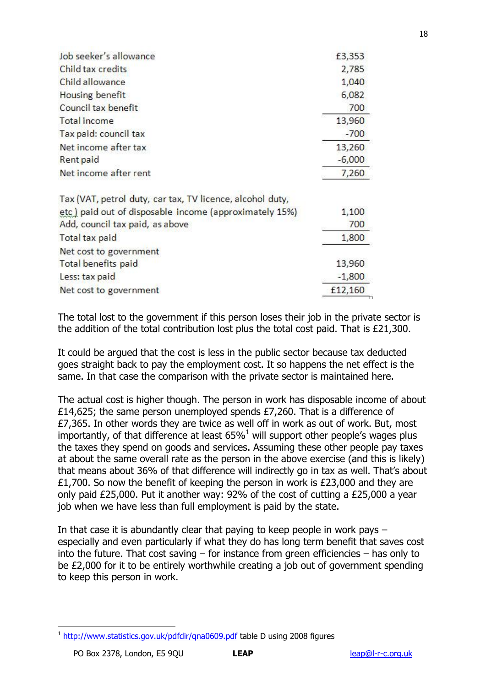| Job seeker's allowance                                    | £3,353   |
|-----------------------------------------------------------|----------|
| Child tax credits                                         | 2,785    |
| Child allowance                                           | 1,040    |
| Housing benefit                                           | 6,082    |
| Council tax benefit                                       | 700      |
| <b>Total income</b>                                       | 13,960   |
| Tax paid: council tax                                     | $-700$   |
| Net income after tax                                      | 13,260   |
| Rent paid                                                 | $-6,000$ |
| Net income after rent                                     | 7,260    |
| Tax (VAT, petrol duty, car tax, TV licence, alcohol duty, |          |
| etc) paid out of disposable income (approximately 15%)    | 1,100    |
| Add, council tax paid, as above                           | 700      |
| Total tax paid                                            | 1,800    |
| Net cost to government                                    |          |
| Total benefits paid                                       | 13,960   |
| Less: tax paid                                            | $-1,800$ |
| Net cost to government                                    | £12,160  |
|                                                           |          |

The total lost to the government if this person loses their job in the private sector is the addition of the total contribution lost plus the total cost paid. That is £21,300.

It could be argued that the cost is less in the public sector because tax deducted goes straight back to pay the employment cost. It so happens the net effect is the same. In that case the comparison with the private sector is maintained here.

The actual cost is higher though. The person in work has disposable income of about £14,625; the same person unemployed spends £7,260. That is a difference of £7,365. In other words they are twice as well off in work as out of work. But, most importantly, of that difference at least 65%<sup>1</sup> will support other people's wages plus the taxes they spend on goods and services. Assuming these other people pay taxes at about the same overall rate as the person in the above exercise (and this is likely) that means about 36% of that difference will indirectly go in tax as well. That's about £1,700. So now the benefit of keeping the person in work is £23,000 and they are only paid £25,000. Put it another way: 92% of the cost of cutting a £25,000 a year job when we have less than full employment is paid by the state.

In that case it is abundantly clear that paying to keep people in work pays – especially and even particularly if what they do has long term benefit that saves cost into the future. That cost saving – for instance from green efficiencies – has only to be £2,000 for it to be entirely worthwhile creating a job out of government spending to keep this person in work.

<sup>&</sup>lt;sup>1</sup> http://www.statistics.gov.uk/pdfdir/gna0609.pdf table D using 2008 figures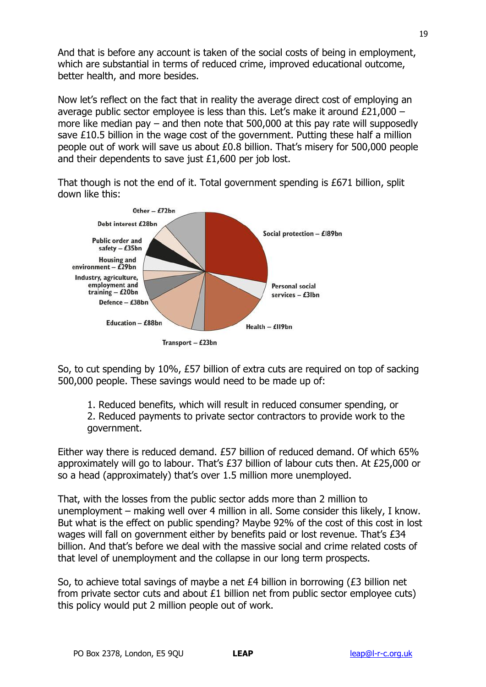And that is before any account is taken of the social costs of being in employment, which are substantial in terms of reduced crime, improved educational outcome, better health, and more besides.

Now let"s reflect on the fact that in reality the average direct cost of employing an average public sector employee is less than this. Let"s make it around £21,000 – more like median pay – and then note that 500,000 at this pay rate will supposedly save £10.5 billion in the wage cost of the government. Putting these half a million people out of work will save us about £0.8 billion. That"s misery for 500,000 people and their dependents to save just £1,600 per job lost.

That though is not the end of it. Total government spending is £671 billion, split down like this:



So, to cut spending by 10%, £57 billion of extra cuts are required on top of sacking 500,000 people. These savings would need to be made up of:

1. Reduced benefits, which will result in reduced consumer spending, or 2. Reduced payments to private sector contractors to provide work to the government.

Either way there is reduced demand. £57 billion of reduced demand. Of which 65% approximately will go to labour. That"s £37 billion of labour cuts then. At £25,000 or so a head (approximately) that's over 1.5 million more unemployed.

That, with the losses from the public sector adds more than 2 million to unemployment – making well over 4 million in all. Some consider this likely, I know. But what is the effect on public spending? Maybe 92% of the cost of this cost in lost wages will fall on government either by benefits paid or lost revenue. That's £34 billion. And that's before we deal with the massive social and crime related costs of that level of unemployment and the collapse in our long term prospects.

So, to achieve total savings of maybe a net £4 billion in borrowing (£3 billion net from private sector cuts and about £1 billion net from public sector employee cuts) this policy would put 2 million people out of work.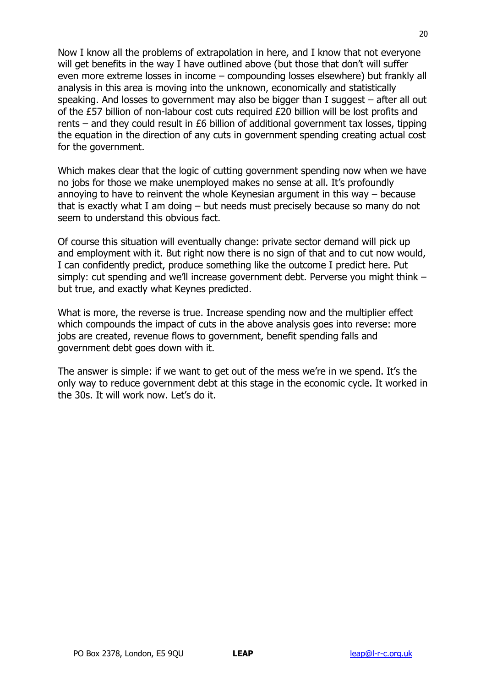Now I know all the problems of extrapolation in here, and I know that not everyone will get benefits in the way I have outlined above (but those that don't will suffer even more extreme losses in income – compounding losses elsewhere) but frankly all analysis in this area is moving into the unknown, economically and statistically speaking. And losses to government may also be bigger than I suggest – after all out of the £57 billion of non-labour cost cuts required £20 billion will be lost profits and rents – and they could result in £6 billion of additional government tax losses, tipping the equation in the direction of any cuts in government spending creating actual cost for the government.

Which makes clear that the logic of cutting government spending now when we have no jobs for those we make unemployed makes no sense at all. It"s profoundly annoying to have to reinvent the whole Keynesian argument in this way – because that is exactly what I am doing – but needs must precisely because so many do not seem to understand this obvious fact.

Of course this situation will eventually change: private sector demand will pick up and employment with it. But right now there is no sign of that and to cut now would, I can confidently predict, produce something like the outcome I predict here. Put simply: cut spending and we"ll increase government debt. Perverse you might think – but true, and exactly what Keynes predicted.

What is more, the reverse is true. Increase spending now and the multiplier effect which compounds the impact of cuts in the above analysis goes into reverse: more jobs are created, revenue flows to government, benefit spending falls and government debt goes down with it.

The answer is simple: if we want to get out of the mess we"re in we spend. It"s the only way to reduce government debt at this stage in the economic cycle. It worked in the 30s. It will work now. Let's do it.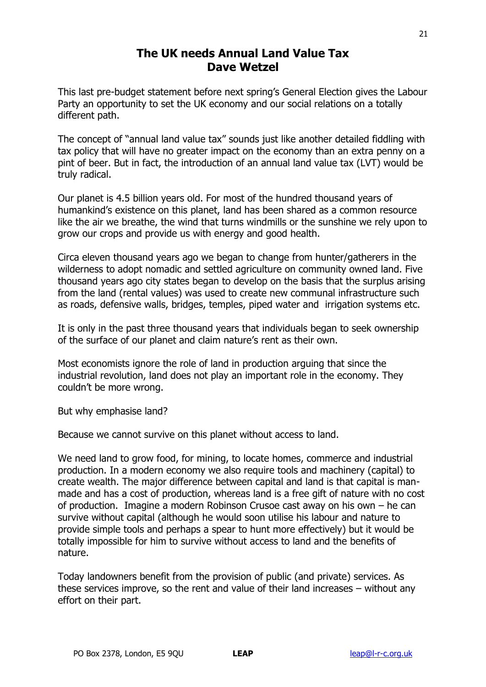# **The UK needs Annual Land Value Tax Dave Wetzel**

This last pre-budget statement before next spring"s General Election gives the Labour Party an opportunity to set the UK economy and our social relations on a totally different path.

The concept of "annual land value tax" sounds just like another detailed fiddling with tax policy that will have no greater impact on the economy than an extra penny on a pint of beer. But in fact, the introduction of an annual land value tax (LVT) would be truly radical.

Our planet is 4.5 billion years old. For most of the hundred thousand years of humankind"s existence on this planet, land has been shared as a common resource like the air we breathe, the wind that turns windmills or the sunshine we rely upon to grow our crops and provide us with energy and good health.

Circa eleven thousand years ago we began to change from hunter/gatherers in the wilderness to adopt nomadic and settled agriculture on community owned land. Five thousand years ago city states began to develop on the basis that the surplus arising from the land (rental values) was used to create new communal infrastructure such as roads, defensive walls, bridges, temples, piped water and irrigation systems etc.

It is only in the past three thousand years that individuals began to seek ownership of the surface of our planet and claim nature"s rent as their own.

Most economists ignore the role of land in production arguing that since the industrial revolution, land does not play an important role in the economy. They couldn"t be more wrong.

But why emphasise land?

Because we cannot survive on this planet without access to land.

We need land to grow food, for mining, to locate homes, commerce and industrial production. In a modern economy we also require tools and machinery (capital) to create wealth. The major difference between capital and land is that capital is manmade and has a cost of production, whereas land is a free gift of nature with no cost of production. Imagine a modern Robinson Crusoe cast away on his own – he can survive without capital (although he would soon utilise his labour and nature to provide simple tools and perhaps a spear to hunt more effectively) but it would be totally impossible for him to survive without access to land and the benefits of nature.

Today landowners benefit from the provision of public (and private) services. As these services improve, so the rent and value of their land increases – without any effort on their part.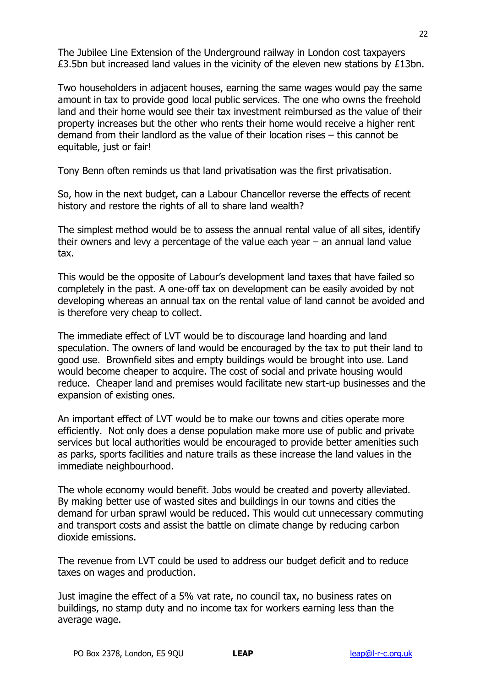The Jubilee Line Extension of the Underground railway in London cost taxpayers £3.5bn but increased land values in the vicinity of the eleven new stations by £13bn.

Two householders in adjacent houses, earning the same wages would pay the same amount in tax to provide good local public services. The one who owns the freehold land and their home would see their tax investment reimbursed as the value of their property increases but the other who rents their home would receive a higher rent demand from their landlord as the value of their location rises – this cannot be equitable, just or fair!

Tony Benn often reminds us that land privatisation was the first privatisation.

So, how in the next budget, can a Labour Chancellor reverse the effects of recent history and restore the rights of all to share land wealth?

The simplest method would be to assess the annual rental value of all sites, identify their owners and levy a percentage of the value each year – an annual land value tax.

This would be the opposite of Labour"s development land taxes that have failed so completely in the past. A one-off tax on development can be easily avoided by not developing whereas an annual tax on the rental value of land cannot be avoided and is therefore very cheap to collect.

The immediate effect of LVT would be to discourage land hoarding and land speculation. The owners of land would be encouraged by the tax to put their land to good use. Brownfield sites and empty buildings would be brought into use. Land would become cheaper to acquire. The cost of social and private housing would reduce. Cheaper land and premises would facilitate new start-up businesses and the expansion of existing ones.

An important effect of LVT would be to make our towns and cities operate more efficiently. Not only does a dense population make more use of public and private services but local authorities would be encouraged to provide better amenities such as parks, sports facilities and nature trails as these increase the land values in the immediate neighbourhood.

The whole economy would benefit. Jobs would be created and poverty alleviated. By making better use of wasted sites and buildings in our towns and cities the demand for urban sprawl would be reduced. This would cut unnecessary commuting and transport costs and assist the battle on climate change by reducing carbon dioxide emissions.

The revenue from LVT could be used to address our budget deficit and to reduce taxes on wages and production.

Just imagine the effect of a 5% vat rate, no council tax, no business rates on buildings, no stamp duty and no income tax for workers earning less than the average wage.

22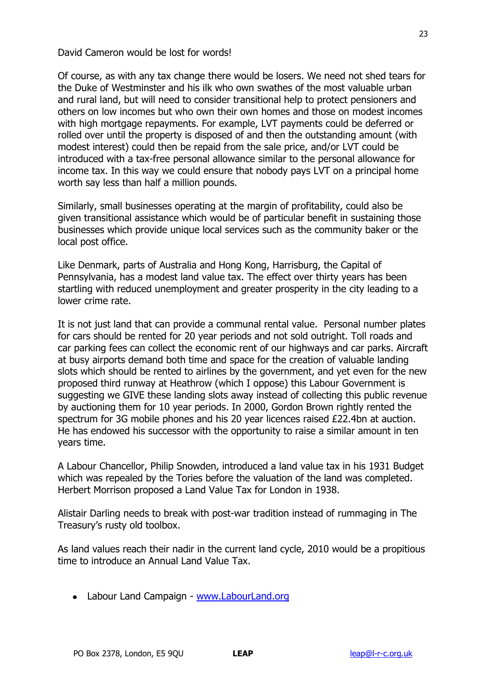David Cameron would be lost for words!

Of course, as with any tax change there would be losers. We need not shed tears for the Duke of Westminster and his ilk who own swathes of the most valuable urban and rural land, but will need to consider transitional help to protect pensioners and others on low incomes but who own their own homes and those on modest incomes with high mortgage repayments. For example, LVT payments could be deferred or rolled over until the property is disposed of and then the outstanding amount (with modest interest) could then be repaid from the sale price, and/or LVT could be introduced with a tax-free personal allowance similar to the personal allowance for income tax. In this way we could ensure that nobody pays LVT on a principal home worth say less than half a million pounds.

Similarly, small businesses operating at the margin of profitability, could also be given transitional assistance which would be of particular benefit in sustaining those businesses which provide unique local services such as the community baker or the local post office.

Like Denmark, parts of Australia and Hong Kong, Harrisburg, the Capital of Pennsylvania, has a modest land value tax. The effect over thirty years has been startling with reduced unemployment and greater prosperity in the city leading to a lower crime rate.

It is not just land that can provide a communal rental value. Personal number plates for cars should be rented for 20 year periods and not sold outright. Toll roads and car parking fees can collect the economic rent of our highways and car parks. Aircraft at busy airports demand both time and space for the creation of valuable landing slots which should be rented to airlines by the government, and yet even for the new proposed third runway at Heathrow (which I oppose) this Labour Government is suggesting we GIVE these landing slots away instead of collecting this public revenue by auctioning them for 10 year periods. In 2000, Gordon Brown rightly rented the spectrum for 3G mobile phones and his 20 year licences raised £22.4bn at auction. He has endowed his successor with the opportunity to raise a similar amount in ten years time.

A Labour Chancellor, Philip Snowden, introduced a land value tax in his 1931 Budget which was repealed by the Tories before the valuation of the land was completed. Herbert Morrison proposed a Land Value Tax for London in 1938.

Alistair Darling needs to break with post-war tradition instead of rummaging in The Treasury"s rusty old toolbox.

As land values reach their nadir in the current land cycle, 2010 would be a propitious time to introduce an Annual Land Value Tax.

Labour Land Campaign - [www.LabourLand.org](http://www.labourland.org/)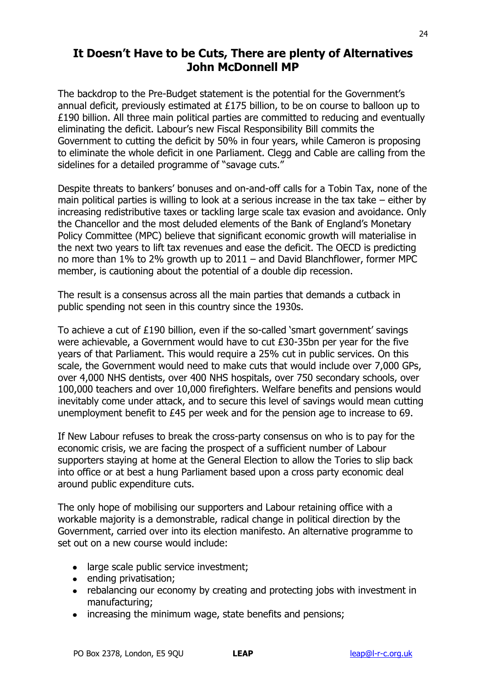# **It Doesn't Have to be Cuts, There are plenty of Alternatives John McDonnell MP**

The backdrop to the Pre-Budget statement is the potential for the Government"s annual deficit, previously estimated at £175 billion, to be on course to balloon up to £190 billion. All three main political parties are committed to reducing and eventually eliminating the deficit. Labour"s new Fiscal Responsibility Bill commits the Government to cutting the deficit by 50% in four years, while Cameron is proposing to eliminate the whole deficit in one Parliament. Clegg and Cable are calling from the sidelines for a detailed programme of "savage cuts."

Despite threats to bankers" bonuses and on-and-off calls for a Tobin Tax, none of the main political parties is willing to look at a serious increase in the tax take – either by increasing redistributive taxes or tackling large scale tax evasion and avoidance. Only the Chancellor and the most deluded elements of the Bank of England"s Monetary Policy Committee (MPC) believe that significant economic growth will materialise in the next two years to lift tax revenues and ease the deficit. The OECD is predicting no more than 1% to 2% growth up to 2011 – and David Blanchflower, former MPC member, is cautioning about the potential of a double dip recession.

The result is a consensus across all the main parties that demands a cutback in public spending not seen in this country since the 1930s.

To achieve a cut of £190 billion, even if the so-called "smart government" savings were achievable, a Government would have to cut £30-35bn per year for the five years of that Parliament. This would require a 25% cut in public services. On this scale, the Government would need to make cuts that would include over 7,000 GPs, over 4,000 NHS dentists, over 400 NHS hospitals, over 750 secondary schools, over 100,000 teachers and over 10,000 firefighters. Welfare benefits and pensions would inevitably come under attack, and to secure this level of savings would mean cutting unemployment benefit to £45 per week and for the pension age to increase to 69.

If New Labour refuses to break the cross-party consensus on who is to pay for the economic crisis, we are facing the prospect of a sufficient number of Labour supporters staying at home at the General Election to allow the Tories to slip back into office or at best a hung Parliament based upon a cross party economic deal around public expenditure cuts.

The only hope of mobilising our supporters and Labour retaining office with a workable majority is a demonstrable, radical change in political direction by the Government, carried over into its election manifesto. An alternative programme to set out on a new course would include:

- large scale public service investment;
- ending privatisation:
- rebalancing our economy by creating and protecting jobs with investment in manufacturing;
- increasing the minimum wage, state benefits and pensions;